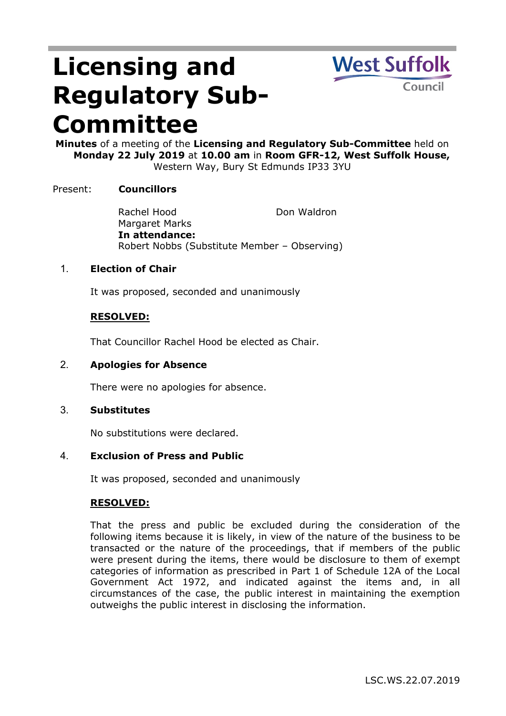# **Licensing and Regulatory Sub-Committee**



**Minutes** of a meeting of the **Licensing and Regulatory Sub-Committee** held on **Monday 22 July 2019** at **10.00 am** in **Room GFR-12, West Suffolk House,** Western Way, Bury St Edmunds IP33 3YU

# Present: **Councillors**

Rachel Hood Margaret Marks Don Waldron **In attendance:** Robert Nobbs (Substitute Member – Observing)

## 1. **Election of Chair**

It was proposed, seconded and unanimously

## **RESOLVED:**

That Councillor Rachel Hood be elected as Chair.

2. **Apologies for Absence**

There were no apologies for absence.

#### 3. **Substitutes**

No substitutions were declared.

#### 4. **Exclusion of Press and Public**

It was proposed, seconded and unanimously

#### **RESOLVED:**

That the press and public be excluded during the consideration of the following items because it is likely, in view of the nature of the business to be transacted or the nature of the proceedings, that if members of the public were present during the items, there would be disclosure to them of exempt categories of information as prescribed in Part 1 of Schedule 12A of the Local Government Act 1972, and indicated against the items and, in all circumstances of the case, the public interest in maintaining the exemption outweighs the public interest in disclosing the information.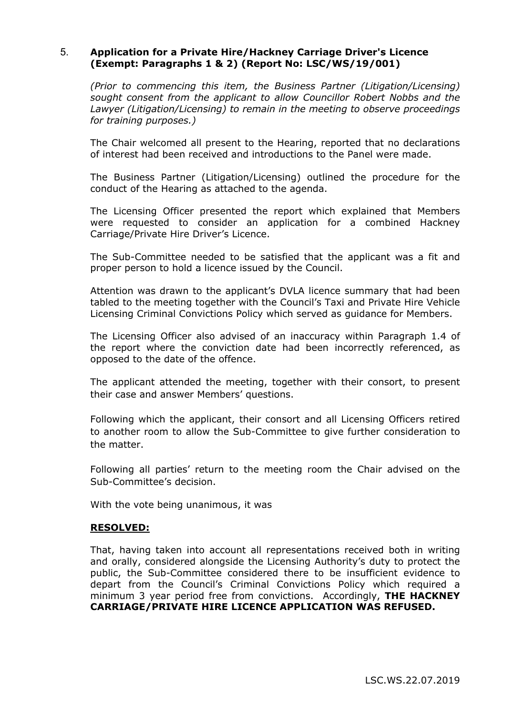## 5. **Application for a Private Hire/Hackney Carriage Driver's Licence (Exempt: Paragraphs 1 & 2) (Report No: LSC/WS/19/001)**

*(Prior to commencing this item, the Business Partner (Litigation/Licensing) sought consent from the applicant to allow Councillor Robert Nobbs and the Lawyer (Litigation/Licensing) to remain in the meeting to observe proceedings for training purposes.)*

The Chair welcomed all present to the Hearing, reported that no declarations of interest had been received and introductions to the Panel were made.

The Business Partner (Litigation/Licensing) outlined the procedure for the conduct of the Hearing as attached to the agenda.

The Licensing Officer presented the report which explained that Members were requested to consider an application for a combined Hackney Carriage/Private Hire Driver's Licence.

The Sub-Committee needed to be satisfied that the applicant was a fit and proper person to hold a licence issued by the Council.

Attention was drawn to the applicant's DVLA licence summary that had been tabled to the meeting together with the Council's Taxi and Private Hire Vehicle Licensing Criminal Convictions Policy which served as guidance for Members.

The Licensing Officer also advised of an inaccuracy within Paragraph 1.4 of the report where the conviction date had been incorrectly referenced, as opposed to the date of the offence.

The applicant attended the meeting, together with their consort, to present their case and answer Members' questions.

Following which the applicant, their consort and all Licensing Officers retired to another room to allow the Sub-Committee to give further consideration to the matter.

Following all parties' return to the meeting room the Chair advised on the Sub-Committee's decision.

With the vote being unanimous, it was

#### **RESOLVED:**

That, having taken into account all representations received both in writing and orally, considered alongside the Licensing Authority's duty to protect the public, the Sub-Committee considered there to be insufficient evidence to depart from the Council's Criminal Convictions Policy which required a minimum 3 year period free from convictions. Accordingly, **THE HACKNEY CARRIAGE/PRIVATE HIRE LICENCE APPLICATION WAS REFUSED.**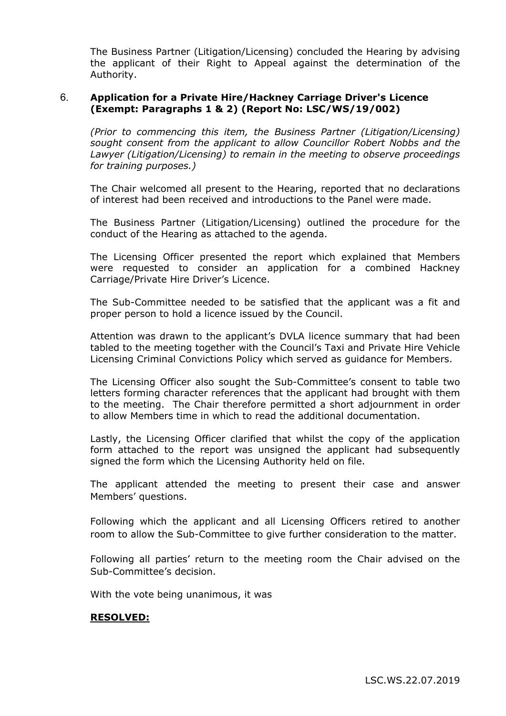The Business Partner (Litigation/Licensing) concluded the Hearing by advising the applicant of their Right to Appeal against the determination of the Authority.

## 6. **Application for a Private Hire/Hackney Carriage Driver's Licence (Exempt: Paragraphs 1 & 2) (Report No: LSC/WS/19/002)**

*(Prior to commencing this item, the Business Partner (Litigation/Licensing) sought consent from the applicant to allow Councillor Robert Nobbs and the Lawyer (Litigation/Licensing) to remain in the meeting to observe proceedings for training purposes.)*

The Chair welcomed all present to the Hearing, reported that no declarations of interest had been received and introductions to the Panel were made.

The Business Partner (Litigation/Licensing) outlined the procedure for the conduct of the Hearing as attached to the agenda.

The Licensing Officer presented the report which explained that Members were requested to consider an application for a combined Hackney Carriage/Private Hire Driver's Licence.

The Sub-Committee needed to be satisfied that the applicant was a fit and proper person to hold a licence issued by the Council.

Attention was drawn to the applicant's DVLA licence summary that had been tabled to the meeting together with the Council's Taxi and Private Hire Vehicle Licensing Criminal Convictions Policy which served as guidance for Members.

The Licensing Officer also sought the Sub-Committee's consent to table two letters forming character references that the applicant had brought with them to the meeting. The Chair therefore permitted a short adjournment in order to allow Members time in which to read the additional documentation.

Lastly, the Licensing Officer clarified that whilst the copy of the application form attached to the report was unsigned the applicant had subsequently signed the form which the Licensing Authority held on file.

The applicant attended the meeting to present their case and answer Members' questions.

Following which the applicant and all Licensing Officers retired to another room to allow the Sub-Committee to give further consideration to the matter.

Following all parties' return to the meeting room the Chair advised on the Sub-Committee's decision.

With the vote being unanimous, it was

#### **RESOLVED:**